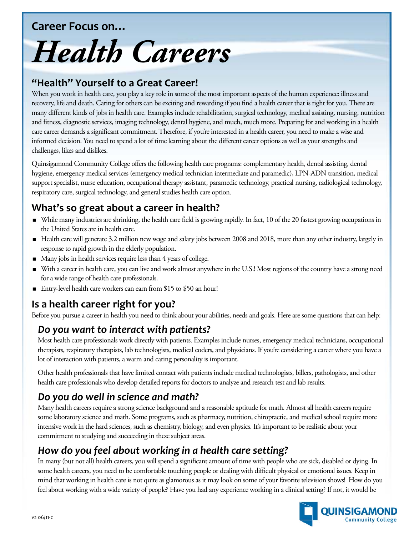#### **Career Focus on…**

# *Health Careers*

#### **"Health" Yourself to a Great Career!**

When you work in health care, you play a key role in some of the most important aspects of the human experience: illness and recovery, life and death. Caring for others can be exciting and rewarding if you find a health career that is right for you. There are many different kinds of jobs in health care. Examples include rehabilitation, surgical technology, medical assisting, nursing, nutrition and fitness, diagnostic services, imaging technology, dental hygiene, and much, much more. Preparing for and working in a health care career demands a significant commitment. Therefore, if you're interested in a health career, you need to make a wise and informed decision. You need to spend a lot of time learning about the different career options as well as your strengths and challenges, likes and dislikes.

Quinsigamond Community College offers the following health care programs: complementary health, dental assisting, dental hygiene, emergency medical services (emergency medical technician intermediate and paramedic), LPN-ADN transition, medical support specialist, nurse education, occupational therapy assistant, paramedic technology, practical nursing, radiological technology, respiratory care, surgical technology, and general studies health care option.

## **What's so great about a career in health?**

- While many industries are shrinking, the health care field is growing rapidly. In fact, 10 of the 20 fastest growing occupations in the United States are in health care.
- Health care will generate 3.2 million new wage and salary jobs between 2008 and 2018, more than any other industry, largely in response to rapid growth in the elderly population.
- Many jobs in health services require less than 4 years of college.
- With a career in health care, you can live and work almost anywhere in the U.S.! Most regions of the country have a strong need for a wide range of health care professionals.
- Entry-level health care workers can earn from \$15 to \$50 an hour!

# **Is a health career right for you?**

Before you pursue a career in health you need to think about your abilities, needs and goals. Here are some questions that can help:

## *Do you want to interact with patients?*

Most health care professionals work directly with patients. Examples include nurses, emergency medical technicians, occupational therapists, respiratory therapists, lab technologists, medical coders, and physicians. If you're considering a career where you have a lot of interaction with patients, a warm and caring personality is important.

Other health professionals that have limited contact with patients include medical technologists, billers, pathologists, and other health care professionals who develop detailed reports for doctors to analyze and research test and lab results.

# *Do you do well in science and math?*

Many health careers require a strong science background and a reasonable aptitude for math. Almost all health careers require some laboratory science and math. Some programs, such as pharmacy, nutrition, chiropractic, and medical school require more intensive work in the hard sciences, such as chemistry, biology, and even physics. It's important to be realistic about your commitment to studying and succeeding in these subject areas.

# *How do you feel about working in a health care setting?*

In many (but not all) health careers, you will spend a significant amount of time with people who are sick, disabled or dying. In some health careers, you need to be comfortable touching people or dealing with difficult physical or emotional issues. Keep in mind that working in health care is not quite as glamorous as it may look on some of your favorite television shows! How do you feel about working with a wide variety of people? Have you had any experience working in a clinical setting? If not, it would be

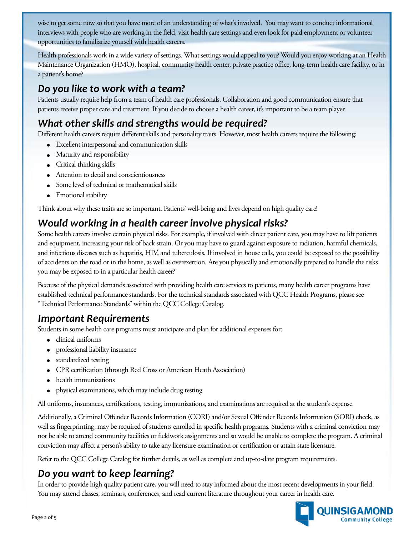wiseto get some now so that you have more of an understanding of what's involved. You may want to conduct informational interviews with people who are working in the field, visit health care settings and even look for paid employment or volunteer opportunities to familiarize yourself with health careers.

Health professionals work in a wide variety of settings. What settings would appeal to you? Would you enjoy working at an Health Maintenance Organization (HMO), hospital, community health center, private practice office, long-term health care facility, or in a patient's home?

#### *Do you like to work with a team?*

Patients usually require help from a team of health care professionals. Collaboration and good communication ensure that patients receive proper care and treatment. If you decide to choose a health career, it's important to be a team player.

## *What other skills and strengths would be required?*

Different health careers require different skills and personality traits. However, most health careers require the following:

- Excellent interpersonal and communication skills
- Maturity and responsibility
- Critical thinking skills
- Attention to detail and conscientiousness
- Some level of technical or mathematical skills
- Emotional stability

Think about why these traits are so important. Patients' well-being and lives depend on high quality care!

#### *Would working in a health career involve physical risks?*

Some health careers involve certain physical risks. For example, if involved with direct patient care, you may have to lift patients and equipment, increasing your risk of back strain. Or you may have to guard against exposure to radiation, harmful chemicals, and infectious diseases such as hepatitis, HIV, and tuberculosis. If involved in house calls, you could be exposed to the possibility of accidents on the road or in the home, as well as overexertion. Are you physically and emotionally prepared to handle the risks you may be exposed to in a particular health career?

Because of the physical demands associated with providing health care services to patients, many health career programs have established technical performance standards. For the technical standards associated with QCC Health Programs, please see "Technical Performance Standards" within the QCC College Catalog.

#### *Important Requirements*

Students in some health care programs must anticipate and plan for additional expenses for:

- clinical uniforms
- professional liability insurance
- standardized testing
- CPR certification (through Red Cross or American Heath Association)
- health immunizations
- physical examinations, which may include drug testing

All uniforms, insurances, certifications, testing, immunizations, and examinations are required at the student's expense.

Additionally, a Criminal Offender Records Information (CORI) and/or Sexual Offender Records Information (SORI) check, as well as fingerprinting, may be required of students enrolled in specific health programs. Students with a criminal conviction may not be able to attend community facilities or fieldwork assignments and so would be unable to complete the program. A criminal conviction may affect a person's ability to take any licensure examination or certification or attain state licensure.

Refer to the QCC College Catalog for further details, as well as complete and up-to-date program requirements.

#### *Do you want to keep learning?*

In order to provide high quality patient care, you will need to stay informed about the most recent developments in your field. You may attend classes, seminars, conferences, and read current literature throughout your career in health care.

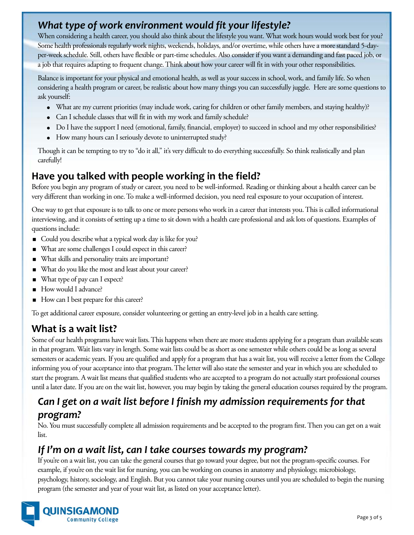## *What type of work environment would fit your lifestyle?*

When considering a health career, you should also think about the lifestyle you want. What work hours would work best for you? Some health professionals regularly work nights, weekends, holidays, and/or overtime, while others have a more standard 5-dayper-week schedule. Still, others have flexible or part-time schedules. Also consider if you want a demanding and fast paced job, or a job that requires adapting to frequent change. Think about how your career will fit in with your other responsibilities.

Balance is important for your physical and emotional health, as well as your success in school, work, and family life. So when considering a health program or career, be realistic about how many things you can successfully juggle. Here are some questions to ask yourself:

- What are my current priorities (may include work, caring for children or other family members, and staying healthy)?
- Can I schedule classes that will fit in with my work and family schedule?
- Do I have the support I need (emotional, family, financial, employer) to succeed in school and my other responsibilities?
- How many hours can I seriously devote to uninterrupted study?

Though it can be tempting to try to "do it all," it's very difficult to do everything successfully. So think realistically and plan carefully!

#### **Have you talked with people working in the field?**

Before you begin any program of study or career, you need to be well-informed. Reading or thinking about a health career can be very different than working in one. To make a well-informed decision, you need real exposure to your occupation of interest.

One way to get that exposure is to talk to one or more persons who work in a career that interests you. This is called informational interviewing, and it consists of setting up a time to sit down with a health care professional and ask lots of questions. Examples of questions include:

- Could you describe what a typical work day is like for you?
- What are some challenges I could expect in this career?
- What skills and personality traits are important?
- What do you like the most and least about your career?
- What type of pay can I expect?
- How would I advance?
- How can I best prepare for this career?

To get additional career exposure, consider volunteering or getting an entry-level job in a health care setting.

## **What is a wait list?**

Some of our health programs have wait lists. This happens when there are more students applying for a program than available seats in that program. Wait lists vary in length. Some wait lists could be as short as one semester while others could be as long as several semesters or academic years. If you are qualified and apply for a program that has a wait list, you will receive a letter from the College informing you of your acceptance into that program. The letter will also state the semester and year in which you are scheduled to start the program. A wait list means that qualified students who are accepted to a program do not actually start professional courses until a later date. If you are on the wait list, however, you may begin by taking the general education courses required by the program.

# *Can I get on a wait list before I finish my admission requirements for that program?*

No. You must successfully complete all admission requirements and be accepted to the program first. Then you can get on a wait list.

#### *If I'm on a wait list, can I take courses towards my program?*

If you're on a wait list, you can take the general courses that go toward your degree, but not the program-specific courses. For example, if you're on the wait list for nursing, you can be working on courses in anatomy and physiology, microbiology, psychology, history, sociology, and English. But you cannot take your nursing courses until you are scheduled to begin the nursing program (the semester and year of your wait list, as listed on your acceptance letter).

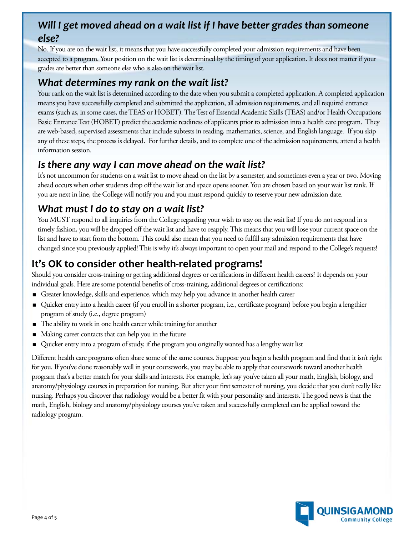## *Will I get moved ahead on a wait list if I have better grades than someone else?*

No. If you are on the wait list, it means that you have successfully completed your admission requirements and have been accepted to a program. Your position on the wait list is determined by the timing of your application. It does not matter if your grades are better than someone else who is also on the wait list.

#### *What determines my rank on the wait list?*

Your rank on the wait list is determined according to the date when you submit a completed application. A completed application means you have successfully completed and submitted the application, all admission requirements, and all required entrance exams (such as, in some cases, the TEAS or HOBET). The Test of Essential Academic Skills (TEAS) and/or Health Occupations Basic Entrance Test (HOBET) predict the academic readiness of applicants prior to admission into a health care program. They are web-based, supervised assessments that include subtests in reading, mathematics, science, and English language. If you skip any of these steps, the process is delayed. For further details, and to complete one of the admission requirements, attend a health information session.

## *Is there any way I can move ahead on the wait list?*

It's not uncommon for students on a wait list to move ahead on the list by a semester, and sometimes even a year or two. Moving ahead occurs when other students drop off the wait list and space opens sooner. You are chosen based on your wait list rank. If you are next in line, the College will notify you and you must respond quickly to reserve your new admission date.

## *What must I do to stay on a wait list?*

You MUST respond to all inquiries from the College regarding your wish to stay on the wait list! If you do not respond in a timely fashion, you will be dropped off the wait list and have to reapply. This means that you will lose your current space on the list and have to start from the bottom. This could also mean that you need to fulfill any admission requirements that have changed since you previously applied! This is why it's always important to open your mail and respond to the College's requests!

# **It's OK to consider other health-related programs!**

Should you consider cross-training or getting additional degrees or certifications in different health careers? It depends on your individual goals. Here are some potential benefits of cross-training, additional degrees or certifications:

- Greater knowledge, skills and experience, which may help you advance in another health career
- Quicker entry into a health career (if you enroll in a shorter program, i.e., certificate program) before you begin a lengthier program of study (i.e., degree program)
- The ability to work in one health career while training for another
- Making career contacts that can help you in the future
- Quicker entry into a program of study, if the program you originally wanted has a lengthy wait list

Different health care programs often share some of the same courses. Suppose you begin a health program and find that it isn't right for you. If you've done reasonably well in your coursework, you may be able to apply that coursework toward another health program that's a better match for your skills and interests. For example, let's say you've taken all your math, English, biology, and anatomy/physiology courses in preparation for nursing. But after your first semester of nursing, you decide that you don't really like nursing. Perhaps you discover that radiology would be a better fit with your personality and interests. The good news is that the math, English, biology and anatomy/physiology courses you've taken and successfully completed can be applied toward the radiology program.